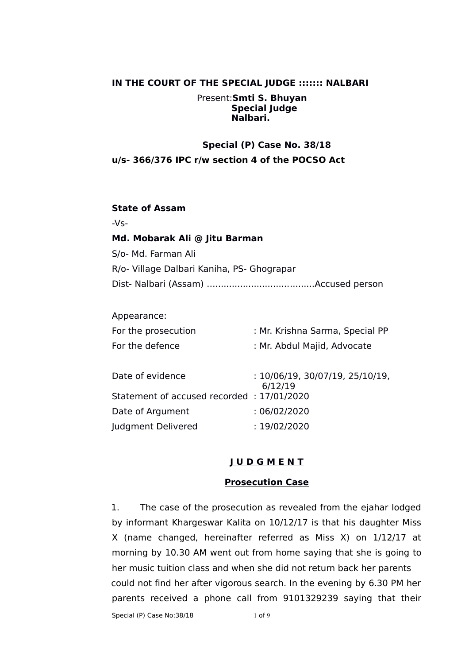### **IN THE COURT OF THE SPECIAL JUDGE ::::::: NALBARI**

Present:**Smti S. Bhuyan Special Judge Nalbari.**

### **Special (P) Case No. 38/18**

### **u/s- 366/376 IPC r/w section 4 of the POCSO Act**

#### **State of Assam**

 $-Vs-$ 

### **Md. Mobarak Ali @ Jitu Barman**

S/o- Md. Farman Ali

R/o- Village Dalbari Kaniha, PS- Ghograpar

Dist- Nalbari (Assam) …....................................Accused person

#### Appearance:

| For the prosecution                       | : Mr. Krishna Sarma, Special PP            |
|-------------------------------------------|--------------------------------------------|
| For the defence                           | : Mr. Abdul Majid, Advocate                |
| Date of evidence                          | : 10/06/19, 30/07/19, 25/10/19,<br>6/12/19 |
| Statement of accused recorded: 17/01/2020 |                                            |
| Date of Argument                          | :06/02/2020                                |

Judgment Delivered : 19/02/2020

## **J U D G M E N T**

### **Prosecution Case**

1. The case of the prosecution as revealed from the ejahar lodged by informant Khargeswar Kalita on 10/12/17 is that his daughter Miss X (name changed, hereinafter referred as Miss X) on 1/12/17 at morning by 10.30 AM went out from home saying that she is going to her music tuition class and when she did not return back her parents could not find her after vigorous search. In the evening by 6.30 PM her parents received a phone call from 9101329239 saying that their

Special (P) Case No:38/18 1 of 9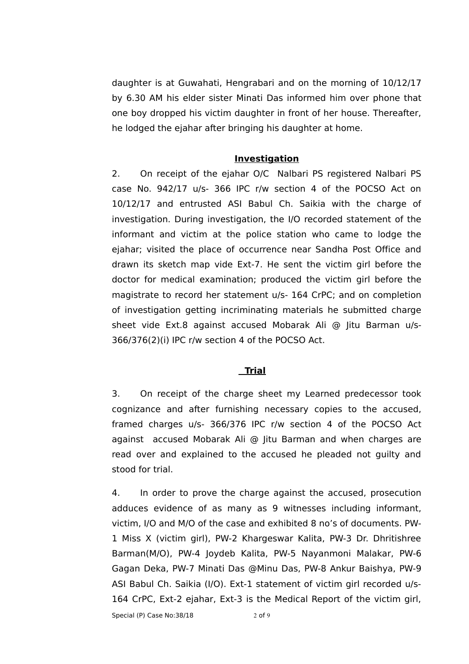daughter is at Guwahati, Hengrabari and on the morning of 10/12/17 by 6.30 AM his elder sister Minati Das informed him over phone that one boy dropped his victim daughter in front of her house. Thereafter, he lodged the ejahar after bringing his daughter at home.

#### **Investigation**

2. On receipt of the ejahar O/C Nalbari PS registered Nalbari PS case No. 942/17 u/s- 366 IPC r/w section 4 of the POCSO Act on 10/12/17 and entrusted ASI Babul Ch. Saikia with the charge of investigation. During investigation, the I/O recorded statement of the informant and victim at the police station who came to lodge the ejahar; visited the place of occurrence near Sandha Post Office and drawn its sketch map vide Ext-7. He sent the victim girl before the doctor for medical examination; produced the victim girl before the magistrate to record her statement u/s- 164 CrPC; and on completion of investigation getting incriminating materials he submitted charge sheet vide Ext.8 against accused Mobarak Ali @ Jitu Barman u/s-366/376(2)(i) IPC r/w section 4 of the POCSO Act.

#### **Trial**

3. On receipt of the charge sheet my Learned predecessor took cognizance and after furnishing necessary copies to the accused, framed charges u/s- 366/376 IPC r/w section 4 of the POCSO Act against accused Mobarak Ali @ Jitu Barman and when charges are read over and explained to the accused he pleaded not guilty and stood for trial.

4. In order to prove the charge against the accused, prosecution adduces evidence of as many as 9 witnesses including informant, victim, I/O and M/O of the case and exhibited 8 no's of documents. PW-1 Miss X (victim girl), PW-2 Khargeswar Kalita, PW-3 Dr. Dhritishree Barman(M/O), PW-4 Joydeb Kalita, PW-5 Nayanmoni Malakar, PW-6 Gagan Deka, PW-7 Minati Das @Minu Das, PW-8 Ankur Baishya, PW-9 ASI Babul Ch. Saikia (I/O). Ext-1 statement of victim girl recorded u/s-164 CrPC, Ext-2 ejahar, Ext-3 is the Medical Report of the victim girl,

Special (P) Case No:38/18 2 of 9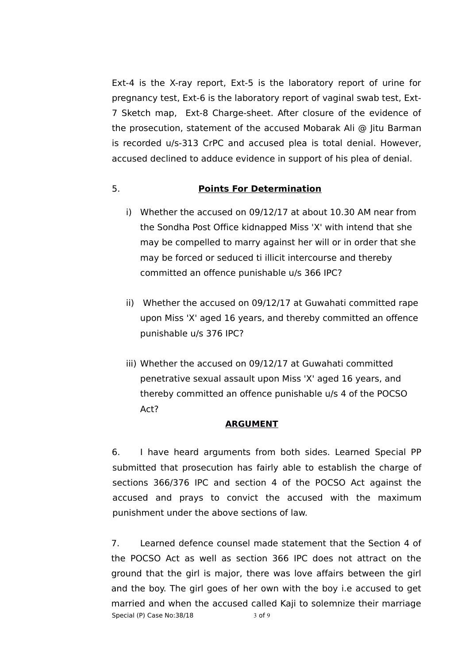Ext-4 is the X-ray report, Ext-5 is the laboratory report of urine for pregnancy test, Ext-6 is the laboratory report of vaginal swab test, Ext-7 Sketch map, Ext-8 Charge-sheet. After closure of the evidence of the prosecution, statement of the accused Mobarak Ali @ Jitu Barman is recorded u/s-313 CrPC and accused plea is total denial. However, accused declined to adduce evidence in support of his plea of denial.

# 5. **Points For Determination**

- i) Whether the accused on 09/12/17 at about 10.30 AM near from the Sondha Post Office kidnapped Miss 'X' with intend that she may be compelled to marry against her will or in order that she may be forced or seduced ti illicit intercourse and thereby committed an offence punishable u/s 366 IPC?
- ii) Whether the accused on 09/12/17 at Guwahati committed rape upon Miss 'X' aged 16 years, and thereby committed an offence punishable u/s 376 IPC?
- iii) Whether the accused on 09/12/17 at Guwahati committed penetrative sexual assault upon Miss 'X' aged 16 years, and thereby committed an offence punishable u/s 4 of the POCSO Act?

## **ARGUMENT**

6. I have heard arguments from both sides. Learned Special PP submitted that prosecution has fairly able to establish the charge of sections 366/376 IPC and section 4 of the POCSO Act against the accused and prays to convict the accused with the maximum punishment under the above sections of law.

7. Learned defence counsel made statement that the Section 4 of the POCSO Act as well as section 366 IPC does not attract on the ground that the girl is major, there was love affairs between the girl and the boy. The girl goes of her own with the boy i.e accused to get married and when the accused called Kaji to solemnize their marriage Special (P) Case No:38/18 3 of 9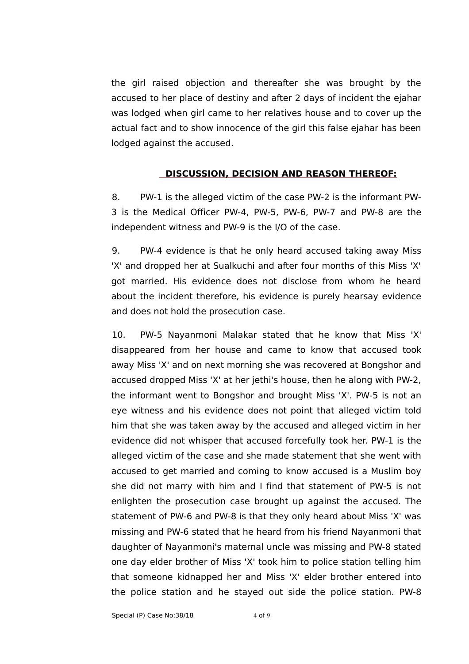the girl raised objection and thereafter she was brought by the accused to her place of destiny and after 2 days of incident the ejahar was lodged when girl came to her relatives house and to cover up the actual fact and to show innocence of the girl this false ejahar has been lodged against the accused.

## **DISCUSSION, DECISION AND REASON THEREOF:**

8. PW-1 is the alleged victim of the case PW-2 is the informant PW-3 is the Medical Officer PW-4, PW-5, PW-6, PW-7 and PW-8 are the independent witness and PW-9 is the I/O of the case.

9. PW-4 evidence is that he only heard accused taking away Miss 'X' and dropped her at Sualkuchi and after four months of this Miss 'X' got married. His evidence does not disclose from whom he heard about the incident therefore, his evidence is purely hearsay evidence and does not hold the prosecution case.

10. PW-5 Nayanmoni Malakar stated that he know that Miss 'X' disappeared from her house and came to know that accused took away Miss 'X' and on next morning she was recovered at Bongshor and accused dropped Miss 'X' at her jethi's house, then he along with PW-2, the informant went to Bongshor and brought Miss 'X'. PW-5 is not an eye witness and his evidence does not point that alleged victim told him that she was taken away by the accused and alleged victim in her evidence did not whisper that accused forcefully took her. PW-1 is the alleged victim of the case and she made statement that she went with accused to get married and coming to know accused is a Muslim boy she did not marry with him and I find that statement of PW-5 is not enlighten the prosecution case brought up against the accused. The statement of PW-6 and PW-8 is that they only heard about Miss 'X' was missing and PW-6 stated that he heard from his friend Nayanmoni that daughter of Nayanmoni's maternal uncle was missing and PW-8 stated one day elder brother of Miss 'X' took him to police station telling him that someone kidnapped her and Miss 'X' elder brother entered into the police station and he stayed out side the police station. PW-8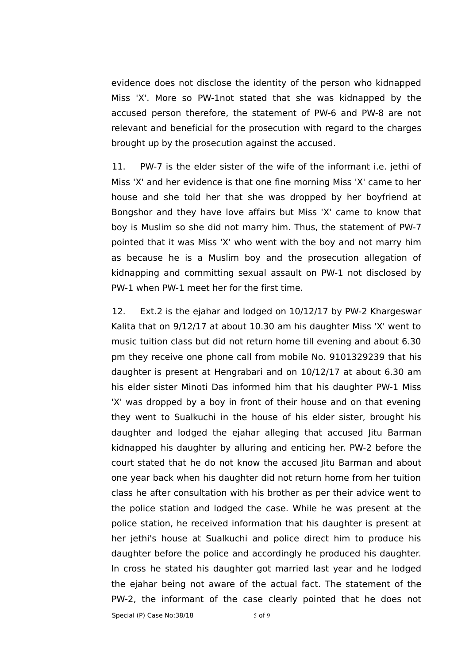evidence does not disclose the identity of the person who kidnapped Miss 'X'. More so PW-1not stated that she was kidnapped by the accused person therefore, the statement of PW-6 and PW-8 are not relevant and beneficial for the prosecution with regard to the charges brought up by the prosecution against the accused.

11. PW-7 is the elder sister of the wife of the informant i.e. jethi of Miss 'X' and her evidence is that one fine morning Miss 'X' came to her house and she told her that she was dropped by her boyfriend at Bongshor and they have love affairs but Miss 'X' came to know that boy is Muslim so she did not marry him. Thus, the statement of PW-7 pointed that it was Miss 'X' who went with the boy and not marry him as because he is a Muslim boy and the prosecution allegation of kidnapping and committing sexual assault on PW-1 not disclosed by PW-1 when PW-1 meet her for the first time.

12. Ext.2 is the ejahar and lodged on 10/12/17 by PW-2 Khargeswar Kalita that on 9/12/17 at about 10.30 am his daughter Miss 'X' went to music tuition class but did not return home till evening and about 6.30 pm they receive one phone call from mobile No. 9101329239 that his daughter is present at Hengrabari and on 10/12/17 at about 6.30 am his elder sister Minoti Das informed him that his daughter PW-1 Miss 'X' was dropped by a boy in front of their house and on that evening they went to Sualkuchi in the house of his elder sister, brought his daughter and lodged the ejahar alleging that accused Jitu Barman kidnapped his daughter by alluring and enticing her. PW-2 before the court stated that he do not know the accused Jitu Barman and about one year back when his daughter did not return home from her tuition class he after consultation with his brother as per their advice went to the police station and lodged the case. While he was present at the police station, he received information that his daughter is present at her jethi's house at Sualkuchi and police direct him to produce his daughter before the police and accordingly he produced his daughter. In cross he stated his daughter got married last year and he lodged the ejahar being not aware of the actual fact. The statement of the PW-2, the informant of the case clearly pointed that he does not

Special (P) Case  $No:38/18$  5 of 9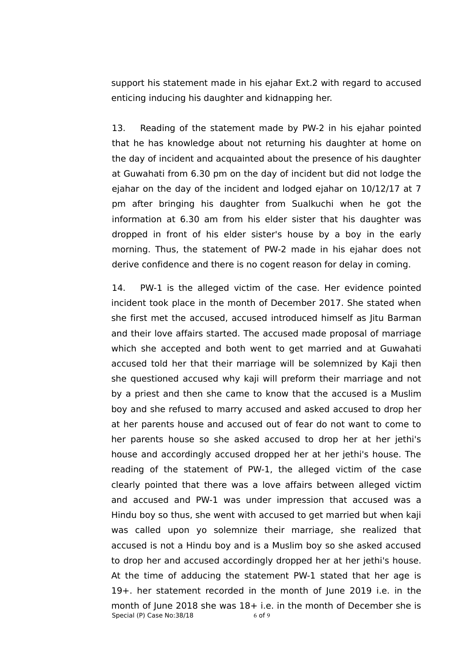support his statement made in his ejahar Ext.2 with regard to accused enticing inducing his daughter and kidnapping her.

13. Reading of the statement made by PW-2 in his ejahar pointed that he has knowledge about not returning his daughter at home on the day of incident and acquainted about the presence of his daughter at Guwahati from 6.30 pm on the day of incident but did not lodge the ejahar on the day of the incident and lodged ejahar on 10/12/17 at 7 pm after bringing his daughter from Sualkuchi when he got the information at 6.30 am from his elder sister that his daughter was dropped in front of his elder sister's house by a boy in the early morning. Thus, the statement of PW-2 made in his ejahar does not derive confidence and there is no cogent reason for delay in coming.

14. PW-1 is the alleged victim of the case. Her evidence pointed incident took place in the month of December 2017. She stated when she first met the accused, accused introduced himself as Jitu Barman and their love affairs started. The accused made proposal of marriage which she accepted and both went to get married and at Guwahati accused told her that their marriage will be solemnized by Kaji then she questioned accused why kaji will preform their marriage and not by a priest and then she came to know that the accused is a Muslim boy and she refused to marry accused and asked accused to drop her at her parents house and accused out of fear do not want to come to her parents house so she asked accused to drop her at her jethi's house and accordingly accused dropped her at her jethi's house. The reading of the statement of PW-1, the alleged victim of the case clearly pointed that there was a love affairs between alleged victim and accused and PW-1 was under impression that accused was a Hindu boy so thus, she went with accused to get married but when kaji was called upon yo solemnize their marriage, she realized that accused is not a Hindu boy and is a Muslim boy so she asked accused to drop her and accused accordingly dropped her at her jethi's house. At the time of adducing the statement PW-1 stated that her age is 19+. her statement recorded in the month of June 2019 i.e. in the month of June 2018 she was 18+ i.e. in the month of December she is Special (P) Case  $No:38/18$  6 of 9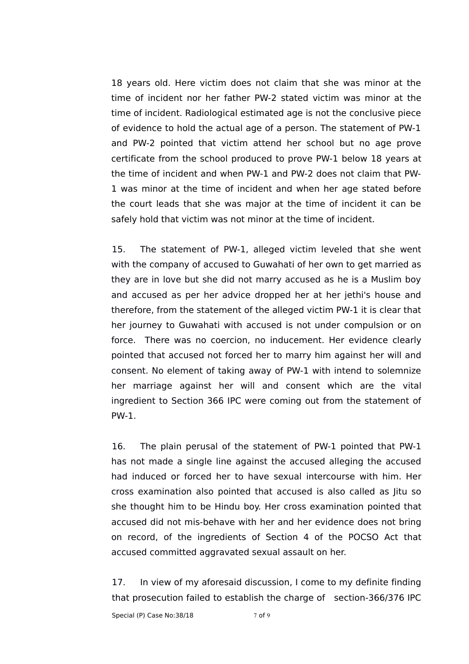18 years old. Here victim does not claim that she was minor at the time of incident nor her father PW-2 stated victim was minor at the time of incident. Radiological estimated age is not the conclusive piece of evidence to hold the actual age of a person. The statement of PW-1 and PW-2 pointed that victim attend her school but no age prove certificate from the school produced to prove PW-1 below 18 years at the time of incident and when PW-1 and PW-2 does not claim that PW-1 was minor at the time of incident and when her age stated before the court leads that she was major at the time of incident it can be safely hold that victim was not minor at the time of incident.

15. The statement of PW-1, alleged victim leveled that she went with the company of accused to Guwahati of her own to get married as they are in love but she did not marry accused as he is a Muslim boy and accused as per her advice dropped her at her jethi's house and therefore, from the statement of the alleged victim PW-1 it is clear that her journey to Guwahati with accused is not under compulsion or on force. There was no coercion, no inducement. Her evidence clearly pointed that accused not forced her to marry him against her will and consent. No element of taking away of PW-1 with intend to solemnize her marriage against her will and consent which are the vital ingredient to Section 366 IPC were coming out from the statement of PW-1.

16. The plain perusal of the statement of PW-1 pointed that PW-1 has not made a single line against the accused alleging the accused had induced or forced her to have sexual intercourse with him. Her cross examination also pointed that accused is also called as Jitu so she thought him to be Hindu boy. Her cross examination pointed that accused did not mis-behave with her and her evidence does not bring on record, of the ingredients of Section 4 of the POCSO Act that accused committed aggravated sexual assault on her.

17. In view of my aforesaid discussion, I come to my definite finding that prosecution failed to establish the charge of section-366/376 IPC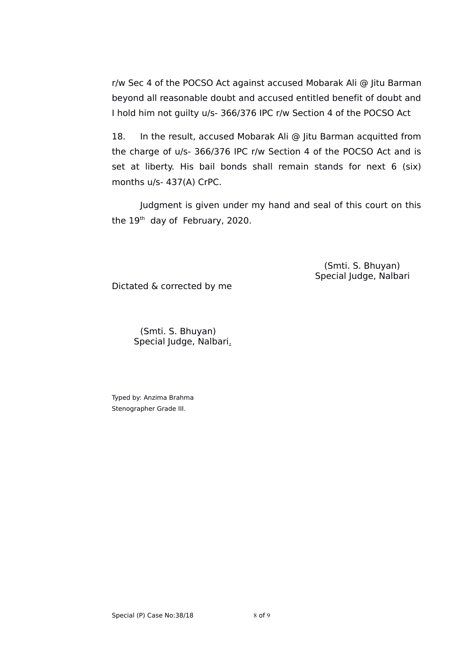r/w Sec 4 of the POCSO Act against accused Mobarak Ali @ Jitu Barman beyond all reasonable doubt and accused entitled benefit of doubt and I hold him not guilty u/s- 366/376 IPC r/w Section 4 of the POCSO Act

18. In the result, accused Mobarak Ali @ Jitu Barman acquitted from the charge of u/s- 366/376 IPC r/w Section 4 of the POCSO Act and is set at liberty. His bail bonds shall remain stands for next 6 (six) months u/s- 437(A) CrPC.

Judgment is given under my hand and seal of this court on this the 19<sup>th</sup> day of February, 2020.

> (Smti. S. Bhuyan) Special Judge, Nalbari

Dictated & corrected by me

(Smti. S. Bhuyan) Special Judge, Nalbari.

Typed by: Anzima Brahma Stenographer Grade III.